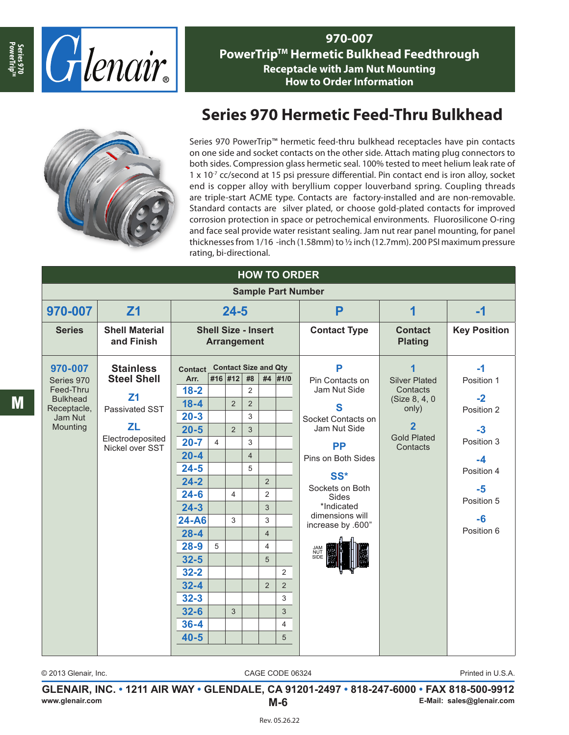

**970-007 PowerTrip™ Hermetic Bulkhead Feedthrough Receptacle with Jam Nut Mounting How to Order Information**



## **Series 970 Hermetic Feed-Thru Bulkhead**

Series 970 PowerTrip™ hermetic feed-thru bulkhead receptacles have pin contacts on one side and socket contacts on the other side. Attach mating plug connectors to both sides. Compression glass hermetic seal. 100% tested to meet helium leak rate of  $1 \times 10^{-7}$  cc/second at 15 psi pressure differential. Pin contact end is iron alloy, socket end is copper alloy with beryllium copper louverband spring. Coupling threads are triple-start ACME type. Contacts are factory-installed and are non-removable. Standard contacts are silver plated, or choose gold-plated contacts for improved corrosion protection in space or petrochemical environments. Fluorosilicone O-ring and face seal provide water resistant sealing. Jam nut rear panel mounting, for panel thicknesses from 1/16 -inch (1.58mm) to ½ inch (12.7mm). 200 PSI maximum pressure rating, bi-directional.

| <b>HOW TO ORDER</b>          |                                                  |                                                  |                |                |                |                     |                                  |                                 |                                                                                                                 |            |
|------------------------------|--------------------------------------------------|--------------------------------------------------|----------------|----------------|----------------|---------------------|----------------------------------|---------------------------------|-----------------------------------------------------------------------------------------------------------------|------------|
| <b>Sample Part Number</b>    |                                                  |                                                  |                |                |                |                     |                                  |                                 |                                                                                                                 |            |
| 970-007                      | Z <sub>1</sub>                                   | $24 - 5$                                         |                |                |                | P                   | 1                                | $-1$                            |                                                                                                                 |            |
| <b>Series</b>                | <b>Shell Material</b><br>and Finish              | <b>Shell Size - Insert</b><br><b>Arrangement</b> |                |                |                | <b>Contact Type</b> | <b>Contact</b><br><b>Plating</b> | <b>Key Position</b>             |                                                                                                                 |            |
| 970-007                      | <b>Stainless</b>                                 | <b>Contact Size and Qty</b><br>Contact           |                | P              | 1              | $-1$                |                                  |                                 |                                                                                                                 |            |
| Series 970                   | <b>Steel Shell</b><br>Z <sub>1</sub>             | Arr.                                             |                | #16 #12 #8     |                |                     | #4 #1/0                          | Pin Contacts on<br>Jam Nut Side | <b>Silver Plated</b><br>Contacts<br>(Size 8, 4, 0)<br>only)<br>$\overline{2}$<br><b>Gold Plated</b><br>Contacts | Position 1 |
| Feed-Thru<br><b>Bulkhead</b> |                                                  | $18 - 2$                                         |                |                | $\overline{2}$ |                     |                                  |                                 |                                                                                                                 | $-2$       |
| Receptacle,                  | Passivated SST                                   | $18 - 4$                                         |                | 2              | $\overline{2}$ |                     |                                  | S                               |                                                                                                                 | Position 2 |
| Jam Nut<br>Mounting          | <b>ZL</b><br>Electrodeposited<br>Nickel over SST | $20 - 3$                                         |                |                | 3              |                     |                                  | Socket Contacts on              |                                                                                                                 |            |
|                              |                                                  | $20 - 5$                                         |                | $\overline{2}$ | 3              |                     |                                  | Jam Nut Side                    |                                                                                                                 | $-3$       |
|                              |                                                  | $20 - 7$                                         | $\overline{4}$ |                | 3              |                     |                                  | <b>PP</b>                       |                                                                                                                 | Position 3 |
|                              |                                                  | $20 - 4$                                         |                |                | $\overline{4}$ |                     |                                  | Pins on Both Sides              |                                                                                                                 | $-4$       |
|                              |                                                  | $24 - 5$<br>$24 - 2$                             |                |                | 5              | $\overline{2}$      |                                  | SS*                             |                                                                                                                 | Position 4 |
|                              |                                                  | $24 - 6$                                         |                | $\overline{4}$ |                | $\overline{2}$      |                                  | Sockets on Both                 |                                                                                                                 | $-5$       |
|                              |                                                  | $24 - 3$                                         |                |                |                | 3                   |                                  | Sides<br>*Indicated             |                                                                                                                 | Position 5 |
|                              |                                                  | 24-A6                                            |                | 3              |                | 3                   |                                  | dimensions will                 |                                                                                                                 | $-6$       |
|                              |                                                  | $28 - 4$                                         |                |                |                | $\overline{4}$      |                                  | increase by .600"               |                                                                                                                 | Position 6 |
|                              |                                                  | $28 - 9$                                         | 5              |                |                | $\overline{4}$      |                                  |                                 |                                                                                                                 |            |
|                              |                                                  | $32 - 5$                                         |                |                |                | 5                   |                                  | <b>JAM<br/>NUT<br/>SIDE</b>     |                                                                                                                 |            |
|                              |                                                  | $32 - 2$                                         |                |                |                |                     | $\overline{2}$                   |                                 |                                                                                                                 |            |
|                              |                                                  | $32 - 4$                                         |                |                |                | $\overline{2}$      | $\overline{2}$                   |                                 |                                                                                                                 |            |
|                              |                                                  | $32 - 3$                                         |                |                |                |                     | 3                                |                                 |                                                                                                                 |            |
|                              |                                                  | $32 - 6$                                         |                | 3              |                |                     | 3                                |                                 |                                                                                                                 |            |
|                              |                                                  | $36 - 4$                                         |                |                |                |                     | 4                                |                                 |                                                                                                                 |            |
|                              |                                                  | $40 - 5$                                         |                |                |                |                     | 5                                |                                 |                                                                                                                 |            |
|                              |                                                  |                                                  |                |                |                |                     |                                  |                                 |                                                                                                                 |            |

M

**Series 970** PowerTrip<sup>TM</sup>

© 2013 Glenair, Inc. CAGE CODE 06324

Printed in U.S.A.

**GLENAIR, INC. • 1211 AIR WAY • GLENDALE, CA 91201-2497 • 818-247-6000 • FAX 818-500-9912 www.glenair.com M-6 E-Mail: sales@glenair.com**